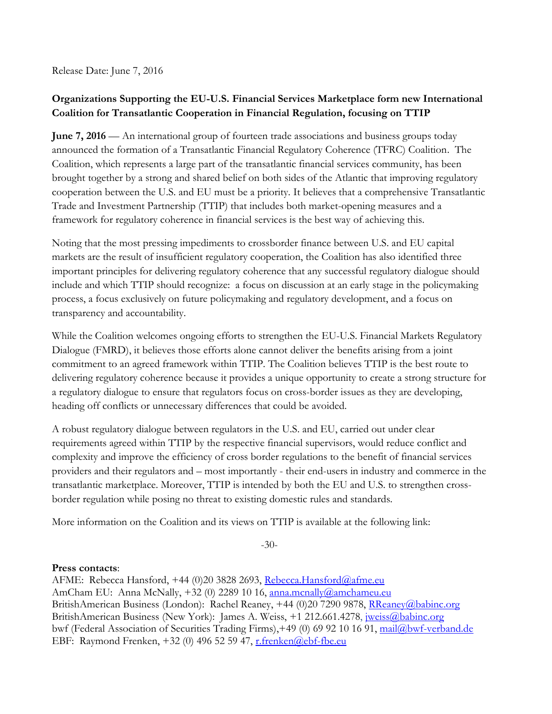Release Date: June 7, 2016

# **Organizations Supporting the EU-U.S. Financial Services Marketplace form new International Coalition for Transatlantic Cooperation in Financial Regulation, focusing on TTIP**

**June 7, 2016** — An international group of fourteen trade associations and business groups today announced the formation of a Transatlantic Financial Regulatory Coherence (TFRC) Coalition. The Coalition, which represents a large part of the transatlantic financial services community, has been brought together by a strong and shared belief on both sides of the Atlantic that improving regulatory cooperation between the U.S. and EU must be a priority. It believes that a comprehensive Transatlantic Trade and Investment Partnership (TTIP) that includes both market-opening measures and a framework for regulatory coherence in financial services is the best way of achieving this.

Noting that the most pressing impediments to crossborder finance between U.S. and EU capital markets are the result of insufficient regulatory cooperation, the Coalition has also identified three important principles for delivering regulatory coherence that any successful regulatory dialogue should include and which TTIP should recognize: a focus on discussion at an early stage in the policymaking process, a focus exclusively on future policymaking and regulatory development, and a focus on transparency and accountability.

While the Coalition welcomes ongoing efforts to strengthen the EU-U.S. Financial Markets Regulatory Dialogue (FMRD), it believes those efforts alone cannot deliver the benefits arising from a joint commitment to an agreed framework within TTIP. The Coalition believes TTIP is the best route to delivering regulatory coherence because it provides a unique opportunity to create a strong structure for a regulatory dialogue to ensure that regulators focus on cross-border issues as they are developing, heading off conflicts or unnecessary differences that could be avoided.

A robust regulatory dialogue between regulators in the U.S. and EU, carried out under clear requirements agreed within TTIP by the respective financial supervisors, would reduce conflict and complexity and improve the efficiency of cross border regulations to the benefit of financial services providers and their regulators and – most importantly - their end-users in industry and commerce in the transatlantic marketplace. Moreover, TTIP is intended by both the EU and U.S. to strengthen crossborder regulation while posing no threat to existing domestic rules and standards.

More information on the Coalition and its views on TTIP is available at the following link:

-30-

### **Press contacts**:

AFME: Rebecca Hansford, +44 (0)20 3828 2693, [Rebecca.Hansford@afme.eu](mailto:Rebecca.Hansford@afme.eu) AmCham EU: Anna McNally, +32 (0) 2289 10 16, anna.mcnally@amchameu.eu BritishAmerican Business (London): Rachel Reaney, +44 (0)20 7290 9878, [RReaney@babinc.org](mailto:RReaney@babinc.org) BritishAmerican Business (New York): James A. Weiss, +1 212.661.4278, *jweiss@babinc.org* bwf (Federal Association of Securities Trading Firms), +49 (0) 69 92 10 16 91, [mail@bwf-verband.de](mailto:mail@bwf-verband.de) EBF: Raymond Frenken, +32 (0) 496 52 59 47, [r.frenken@ebf-fbe.eu](mailto:r.frenken@ebf-fbe.eu)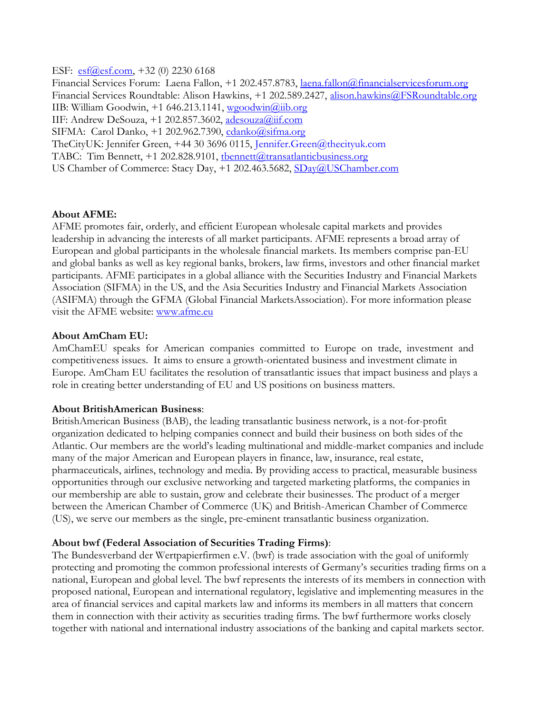ESF: [esf@esf.com,](mailto:esf@esf.com) +32 (0) 2230 6168 Financial Services Forum: Laena Fallon, +1 202.457.8783, [laena.fallon@financialservicesforum.org](mailto:laena.fallon@financialservicesforum.org) Financial Services Roundtable: Alison Hawkins, +1 202.589.2427, [alison.hawkins@FSRoundtable.org](mailto:alison.hawkins@FSRoundtable.org) IIB: William Goodwin, +1 646.213.1141, [wgoodwin@iib.org](mailto:wgoodwin@iib.org) IIF: Andrew DeSouza,  $+1$  202.857.3602, adesouza@iif.com SIFMA: Carol Danko, +1 202.962.7390, [cdanko@sifma.org](mailto:cdanko@sifma.org) TheCityUK: Jennifer Green, +44 30 3696 0115, [Jennifer.Green@thecityuk.com](mailto:Jennifer.Green@thecityuk.com) TABC: Tim Bennett, +1 202.828.9101, thennett@transatlanticbusiness.org US Chamber of Commerce: Stacy Day, +1 202.463.5682, [SDay@USChamber.com](file://gfma.local/shares/sifma-documents/SIFMA-GovernmentAffairs/International%20Policy/Issues/Trade%20and%20Investment/TTIP/The%20TTIP%20Coalition/SDay@USChamber.com)

#### **About AFME:**

AFME promotes fair, orderly, and efficient European wholesale capital markets and provides leadership in advancing the interests of all market participants. AFME represents a broad array of European and global participants in the wholesale financial markets. Its members comprise pan-EU and global banks as well as key regional banks, brokers, law firms, investors and other financial market participants. AFME participates in a global alliance with the Securities Industry and Financial Markets Association (SIFMA) in the US, and the Asia Securities Industry and Financial Markets Association (ASIFMA) through the GFMA (Global Financial MarketsAssociation). For more information please visit the AFME website: [www.afme.eu](http://www.afme.eu/)

#### **About AmCham EU:**

AmChamEU speaks for American companies committed to Europe on trade, investment and competitiveness issues. It aims to ensure a growth-orientated business and investment climate in Europe. AmCham EU facilitates the resolution of transatlantic issues that impact business and plays a role in creating better understanding of EU and US positions on business matters.

#### **About BritishAmerican Business**:

BritishAmerican Business (BAB), the leading transatlantic business network, is a not-for-profit organization dedicated to helping companies connect and build their business on both sides of the Atlantic. Our members are the world's leading multinational and middle-market companies and include many of the major American and European players in finance, law, insurance, real estate, pharmaceuticals, airlines, technology and media. By providing access to practical, measurable business opportunities through our exclusive networking and targeted marketing platforms, the companies in our membership are able to sustain, grow and celebrate their businesses. The product of a merger between the American Chamber of Commerce (UK) and British-American Chamber of Commerce (US), we serve our members as the single, pre-eminent transatlantic business organization.

### **About bwf (Federal Association of Securities Trading Firms)**:

The Bundesverband der Wertpapierfirmen e.V. (bwf) is trade association with the goal of uniformly protecting and promoting the common professional interests of Germany's securities trading firms on a national, European and global level. The bwf represents the interests of its members in connection with proposed national, European and international regulatory, legislative and implementing measures in the area of financial services and capital markets law and informs its members in all matters that concern them in connection with their activity as securities trading firms. The bwf furthermore works closely together with national and international industry associations of the banking and capital markets sector.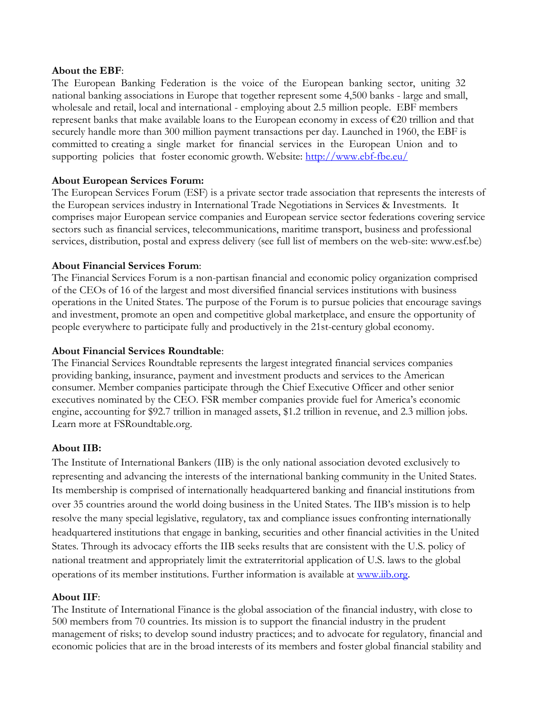#### **About the EBF**:

The European Banking Federation is the voice of the European banking sector, uniting 32 national banking associations in Europe that together represent some 4,500 banks - large and small, wholesale and retail, local and international - employing about 2.5 million people. EBF members represent banks that make available loans to the European economy in excess of €20 trillion and that securely handle more than 300 million payment transactions per day. Launched in 1960, the EBF is committed to creating a single market for financial services in the European Union and to supporting policies that foster economic growth. Website:<http://www.ebf-fbe.eu/>

### **About European Services Forum:**

The European Services Forum (ESF) is a private sector trade association that represents the interests of the European services industry in International Trade Negotiations in Services & Investments. It comprises major European service companies and European service sector federations covering service sectors such as financial services, telecommunications, maritime transport, business and professional services, distribution, postal and express delivery (see full list of members on the web-site: www.esf.be)

### **About Financial Services Forum**:

The Financial Services Forum is a non-partisan financial and economic policy organization comprised of the CEOs of 16 of the largest and most diversified financial services institutions with business operations in the United States. The purpose of the Forum is to pursue policies that encourage savings and investment, promote an open and competitive global marketplace, and ensure the opportunity of people everywhere to participate fully and productively in the 21st-century global economy.

## **About Financial Services Roundtable**:

The Financial Services Roundtable represents the largest integrated financial services companies providing banking, insurance, payment and investment products and services to the American consumer. Member companies participate through the Chief Executive Officer and other senior executives nominated by the CEO. FSR member companies provide fuel for America's economic engine, accounting for \$92.7 trillion in managed assets, \$1.2 trillion in revenue, and 2.3 million jobs. Learn more at FSRoundtable.org.

## **About IIB:**

The Institute of International Bankers (IIB) is the only national association devoted exclusively to representing and advancing the interests of the international banking community in the United States. Its membership is comprised of internationally headquartered banking and financial institutions from over 35 countries around the world doing business in the United States. The IIB's mission is to help resolve the many special legislative, regulatory, tax and compliance issues confronting internationally headquartered institutions that engage in banking, securities and other financial activities in the United States. Through its advocacy efforts the IIB seeks results that are consistent with the U.S. policy of national treatment and appropriately limit the extraterritorial application of U.S. laws to the global operations of its member institutions. Further information is available at [www.iib.org.](http://www.iib.org/)

### **About IIF**:

The Institute of International Finance is the global association of the financial industry, with close to 500 members from 70 countries. Its mission is to support the financial industry in the prudent management of risks; to develop sound industry practices; and to advocate for regulatory, financial and economic policies that are in the broad interests of its members and foster global financial stability and